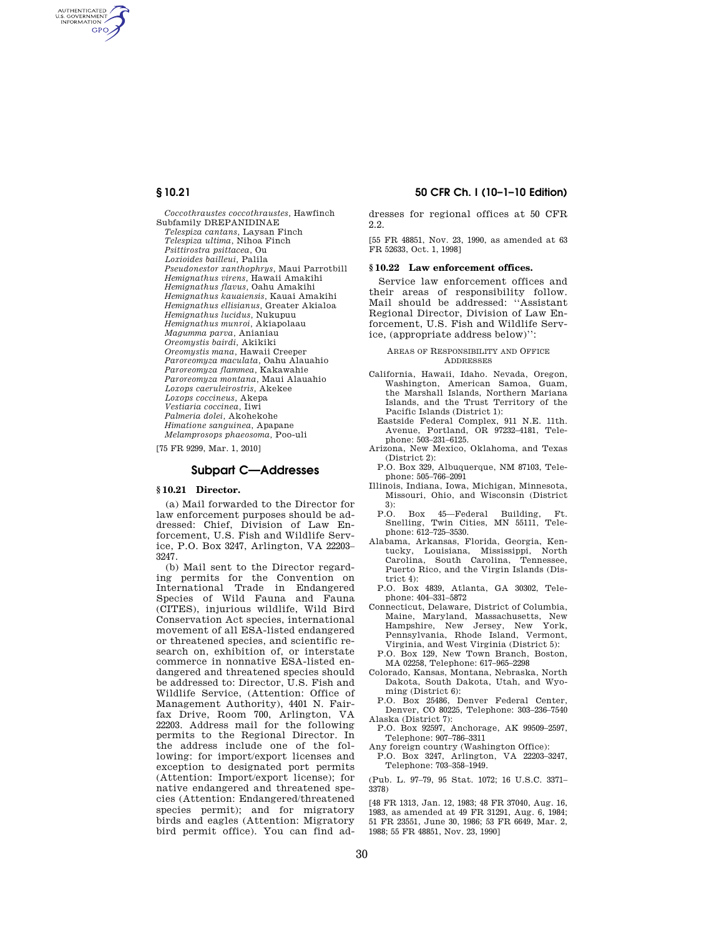AUTHENTICATED<br>U.S. GOVERNMENT<br>INFORMATION **GPO** 

> *Coccothraustes coccothraustes,* Hawfinch Subfamily DREPANIDINAE *Telespiza cantans,* Laysan Finch *Telespiza ultima,* Nihoa Finch *Psittirostra psittacea,* Ou *Loxioides bailleui,* Palila *Pseudonestor xanthophrys,* Maui Parrotbill *Hemignathus virens,* Hawaii Amakihi *Hemignathus flavus,* Oahu Amakihi *Hemignathus kauaiensis,* Kauai Amakihi *Hemignathus ellisianus,* Greater Akialoa *Hemignathus lucidus,* Nukupuu *Hemignathus munroi,* Akiapolaau *Magumma parva,* Anianiau *Oreomystis bairdi,* Akikiki *Oreomystis mana,* Hawaii Creeper *Paroreomyza maculata,* Oahu Alauahio *Paroreomyza flammea,* Kakawahie *Paroreomyza montana,* Maui Alauahio *Loxops caeruleirostris,* Akekee *Loxops coccineus,* Akepa *Vestiaria coccinea,* Iiwi *Palmeria dolei,* Akohekohe *Himatione sanguinea,* Apapane *Melamprosops phaeosoma,* Poo-uli

[75 FR 9299, Mar. 1, 2010]

#### **Subpart C—Addresses**

#### **§ 10.21 Director.**

(a) Mail forwarded to the Director for law enforcement purposes should be addressed: Chief, Division of Law Enforcement, U.S. Fish and Wildlife Service, P.O. Box 3247, Arlington, VA 22203– 3247.

(b) Mail sent to the Director regarding permits for the Convention on International Trade in Endangered Species of Wild Fauna and Fauna (CITES), injurious wildlife, Wild Bird Conservation Act species, international movement of all ESA-listed endangered or threatened species, and scientific research on, exhibition of, or interstate commerce in nonnative ESA-listed endangered and threatened species should be addressed to: Director, U.S. Fish and Wildlife Service, (Attention: Office of Management Authority), 4401 N. Fairfax Drive, Room 700, Arlington, VA 22203. Address mail for the following permits to the Regional Director. In the address include one of the following: for import/export licenses and exception to designated port permits (Attention: Import/export license); for native endangered and threatened species (Attention: Endangered/threatened species permit); and for migratory birds and eagles (Attention: Migratory bird permit office). You can find ad-

#### **§ 10.21 50 CFR Ch. I (10–1–10 Edition)**

dresses for regional offices at 50 CFR 2.2.

[55 FR 48851, Nov. 23, 1990, as amended at 63 FR 52633, Oct. 1, 1998]

#### **§ 10.22 Law enforcement offices.**

Service law enforcement offices and their areas of responsibility follow. Mail should be addressed: ''Assistant Regional Director, Division of Law Enforcement, U.S. Fish and Wildlife Service, (appropriate address below)'':

#### AREAS OF RESPONSIBILITY AND OFFICE ADDRESSES

- California, Hawaii, Idaho. Nevada, Oregon, Washington, American Samoa, Guam, the Marshall Islands, Northern Mariana Islands, and the Trust Territory of the Pacific Islands (District 1):
- Eastside Federal Complex, 911 N.E. 11th. Avenue, Portland, OR 97232–4181, Telephone: 503–231–6125.
- Arizona, New Mexico, Oklahoma, and Texas (District 2):
- P.O. Box 329, Albuquerque, NM 87103, Telephone: 505–766–2091
- Illinois, Indiana, Iowa, Michigan, Minnesota, Missouri, Ohio, and Wisconsin (District  $\frac{3}{P}$ .
- P.O. Box 45—Federal Building, Ft. Snelling, Twin Cities, MN 55111, Telephone: 612–725–3530.
- Alabama, Arkansas, Florida, Georgia, Kentucky, Louisiana, Mississippi, North Carolina, South Carolina, Tennessee, Puerto Rico, and the Virgin Islands (District 4):
- P.O. Box 4839, Atlanta, GA 30302, Telephone: 404–331–5872
- Connecticut, Delaware, District of Columbia, Maine, Maryland, Massachusetts, New Hampshire, New Jersey, New York, Pennsylvania, Rhode Island, Vermont, Virginia, and West Virginia (District 5):
- P.O. Box 129, New Town Branch, Boston, MA 02258, Telephone: 617–965–2298
- Colorado, Kansas, Montana, Nebraska, North Dakota, South Dakota, Utah, and Wyoming (District 6):
- P.O. Box 25486, Denver Federal Center, Denver, CO 80225, Telephone: 303–236–7540 Alaska (District 7):
- P.O. Box 92597, Anchorage, AK 99509–2597, Telephone: 907–786–3311
- Any foreign country (Washington Office):
- P.O. Box 3247, Arlington, VA 22203–3247, Telephone: 703–358–1949.
- (Pub. L. 97–79, 95 Stat. 1072; 16 U.S.C. 3371– 3378)

[48 FR 1313, Jan. 12, 1983; 48 FR 37040, Aug. 16, 1983, as amended at 49 FR 31291, Aug. 6, 1984; 51 FR 23551, June 30, 1986; 53 FR 6649, Mar. 2, 1988; 55 FR 48851, Nov. 23, 1990]